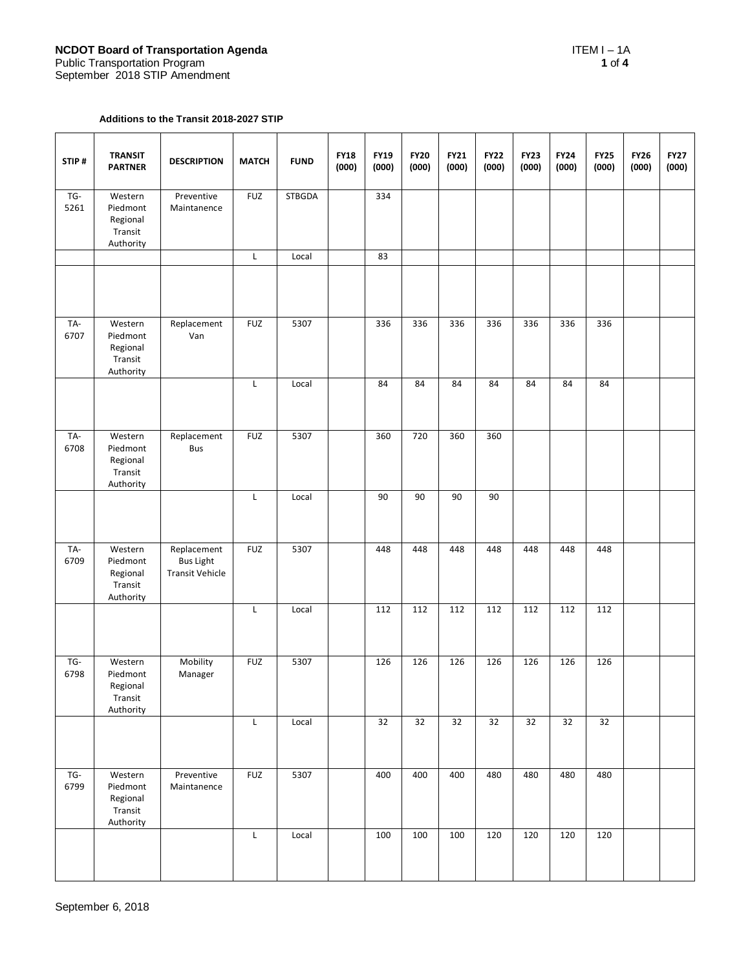## **Additions to the Transit 2018-2027 STIP**

| STIP#       | <b>TRANSIT</b><br><b>PARTNER</b>                        | <b>DESCRIPTION</b>                                        | <b>MATCH</b> | <b>FUND</b>   | <b>FY18</b><br>(000) | <b>FY19</b><br>(000) | <b>FY20</b><br>(000) | <b>FY21</b><br>(000) | <b>FY22</b><br>(000) | <b>FY23</b><br>(000) | <b>FY24</b><br>(000) | <b>FY25</b><br>(000) | <b>FY26</b><br>(000) | <b>FY27</b><br>(000) |
|-------------|---------------------------------------------------------|-----------------------------------------------------------|--------------|---------------|----------------------|----------------------|----------------------|----------------------|----------------------|----------------------|----------------------|----------------------|----------------------|----------------------|
| TG-<br>5261 | Western<br>Piedmont<br>Regional<br>Transit<br>Authority | Preventive<br>Maintanence                                 | <b>FUZ</b>   | <b>STBGDA</b> |                      | 334                  |                      |                      |                      |                      |                      |                      |                      |                      |
|             |                                                         |                                                           | L            | Local         |                      | 83                   |                      |                      |                      |                      |                      |                      |                      |                      |
|             |                                                         |                                                           |              |               |                      |                      |                      |                      |                      |                      |                      |                      |                      |                      |
| TA-<br>6707 | Western<br>Piedmont<br>Regional<br>Transit<br>Authority | Replacement<br>Van                                        | <b>FUZ</b>   | 5307          |                      | 336                  | 336                  | 336                  | 336                  | 336                  | 336                  | 336                  |                      |                      |
|             |                                                         |                                                           | L            | Local         |                      | 84                   | 84                   | 84                   | 84                   | 84                   | 84                   | 84                   |                      |                      |
| TA-<br>6708 | Western<br>Piedmont<br>Regional<br>Transit<br>Authority | Replacement<br><b>Bus</b>                                 | <b>FUZ</b>   | 5307          |                      | 360                  | 720                  | 360                  | 360                  |                      |                      |                      |                      |                      |
|             |                                                         |                                                           | L            | Local         |                      | 90                   | 90                   | 90                   | 90                   |                      |                      |                      |                      |                      |
| TA-<br>6709 | Western<br>Piedmont<br>Regional<br>Transit<br>Authority | Replacement<br><b>Bus Light</b><br><b>Transit Vehicle</b> | <b>FUZ</b>   | 5307          |                      | 448                  | 448                  | 448                  | 448                  | 448                  | 448                  | 448                  |                      |                      |
|             |                                                         |                                                           | L            | Local         |                      | 112                  | 112                  | 112                  | 112                  | 112                  | 112                  | 112                  |                      |                      |
| TG-<br>6798 | Western<br>Piedmont<br>Regional<br>Transit<br>Authority | Mobility<br>Manager                                       | <b>FUZ</b>   | 5307          |                      | 126                  | 126                  | 126                  | 126                  | 126                  | 126                  | 126                  |                      |                      |
|             |                                                         |                                                           | L            | Local         |                      | 32                   | 32                   | 32                   | 32                   | 32                   | 32                   | 32                   |                      |                      |
| TG-<br>6799 | Western<br>Piedmont<br>Regional<br>Transit<br>Authority | Preventive<br>Maintanence                                 | <b>FUZ</b>   | 5307          |                      | 400                  | 400                  | 400                  | 480                  | 480                  | 480                  | 480                  |                      |                      |
|             |                                                         |                                                           | L            | Local         |                      | 100                  | 100                  | 100                  | 120                  | 120                  | 120                  | 120                  |                      |                      |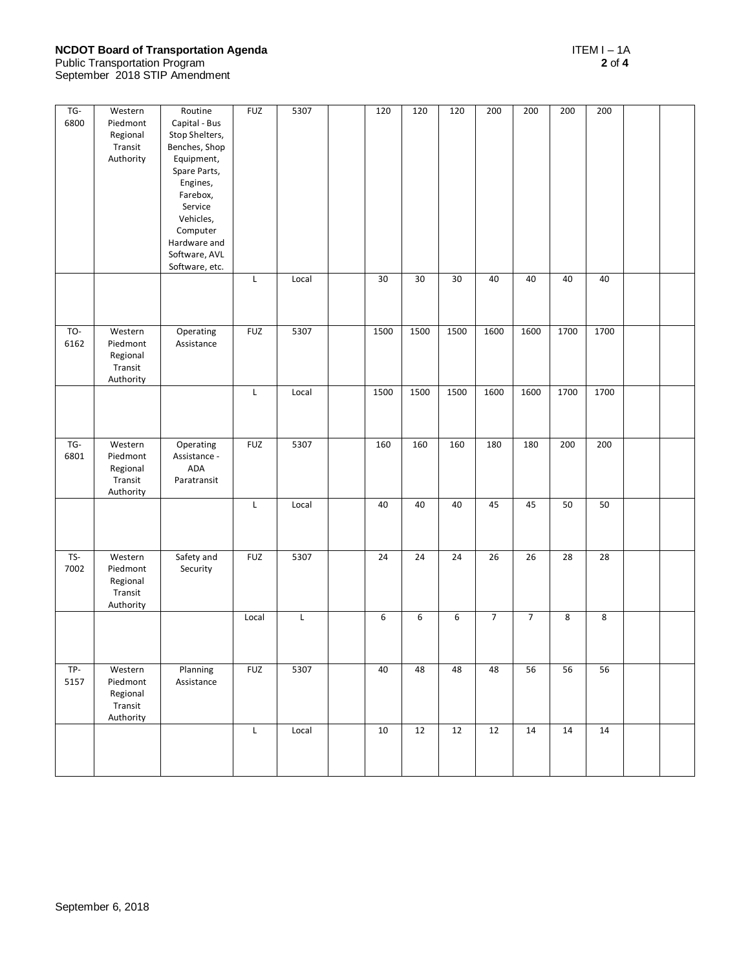## **NCDOT Board of Transportation Agenda** ITEM I – 1A

Public Transportation Program **2** of **4** September 2018 STIP Amendment

| TG-<br>6800 | Western<br>Piedmont<br>Regional<br>Transit<br>Authority | Routine<br>Capital - Bus<br>Stop Shelters,<br>Benches, Shop<br>Equipment,<br>Spare Parts,<br>Engines,<br>Farebox,<br>Service<br>Vehicles,<br>Computer<br>Hardware and<br>Software, AVL<br>Software, etc. | <b>FUZ</b><br>L | 5307<br>Local | 120<br>30 | 120<br>30 | 120<br>30 | 200<br>40      | 200<br>40      | 200<br>40 | 200<br>40 |  |
|-------------|---------------------------------------------------------|----------------------------------------------------------------------------------------------------------------------------------------------------------------------------------------------------------|-----------------|---------------|-----------|-----------|-----------|----------------|----------------|-----------|-----------|--|
|             |                                                         |                                                                                                                                                                                                          |                 |               |           |           |           |                |                |           |           |  |
| TO-<br>6162 | Western<br>Piedmont<br>Regional<br>Transit<br>Authority | Operating<br>Assistance                                                                                                                                                                                  | <b>FUZ</b>      | 5307          | 1500      | 1500      | 1500      | 1600           | 1600           | 1700      | 1700      |  |
|             |                                                         |                                                                                                                                                                                                          | L               | Local         | 1500      | 1500      | 1500      | 1600           | 1600           | 1700      | 1700      |  |
| TG-<br>6801 | Western<br>Piedmont<br>Regional<br>Transit<br>Authority | Operating<br>Assistance -<br>ADA<br>Paratransit                                                                                                                                                          | <b>FUZ</b>      | 5307          | 160       | 160       | 160       | 180            | 180            | 200       | 200       |  |
|             |                                                         |                                                                                                                                                                                                          | L               | Local         | 40        | 40        | 40        | 45             | 45             | 50        | 50        |  |
| TS-<br>7002 | Western<br>Piedmont<br>Regional<br>Transit<br>Authority | Safety and<br>Security                                                                                                                                                                                   | <b>FUZ</b>      | 5307          | 24        | 24        | 24        | 26             | 26             | 28        | 28        |  |
|             |                                                         |                                                                                                                                                                                                          | Local           | L             | 6         | 6         | 6         | $\overline{7}$ | $\overline{7}$ | 8         | 8         |  |
| TP-<br>5157 | Western<br>Piedmont<br>Regional<br>Transit<br>Authority | Planning<br>Assistance                                                                                                                                                                                   | <b>FUZ</b>      | 5307          | 40        | 48        | 48        | 48             | 56             | 56        | 56        |  |
|             |                                                         |                                                                                                                                                                                                          | L               | Local         | 10        | 12        | 12        | 12             | 14             | 14        | 14        |  |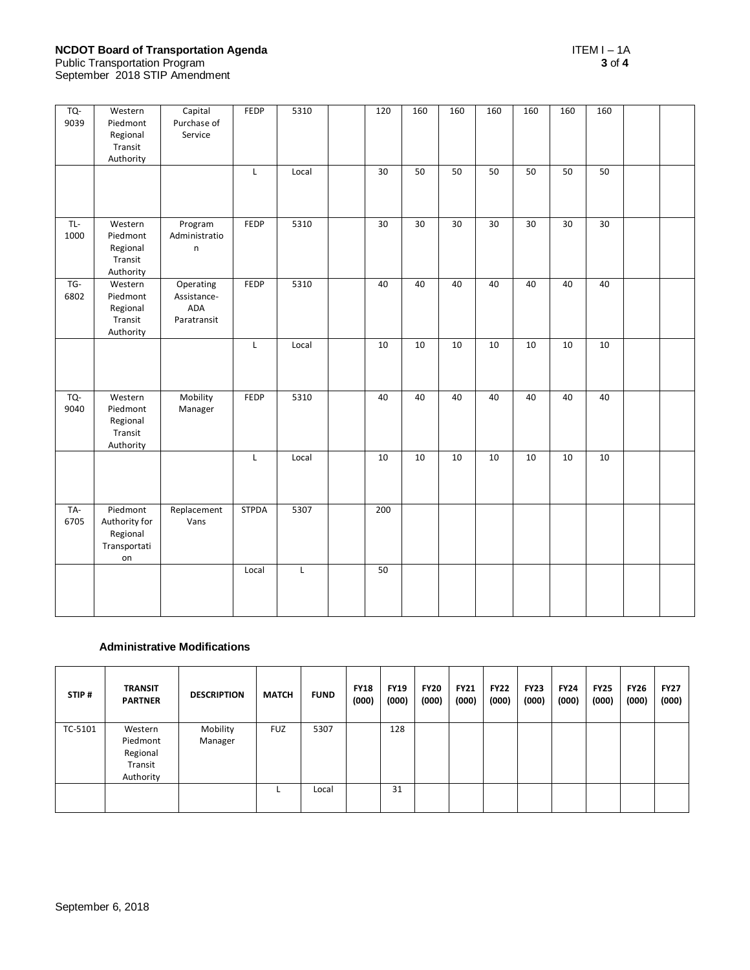# **NCDOT Board of Transportation Agenda** ITEM I – 1A

| TQ-<br>9039 | Western<br>Piedmont<br>Regional<br>Transit<br>Authority     | Capital<br>Purchase of<br>Service              | FEDP         | 5310        | 120    | 160 | 160 | 160 | 160 | 160    | 160             |  |
|-------------|-------------------------------------------------------------|------------------------------------------------|--------------|-------------|--------|-----|-----|-----|-----|--------|-----------------|--|
|             |                                                             |                                                | L            | Local       | 30     | 50  | 50  | 50  | 50  | 50     | 50              |  |
| TL-<br>1000 | Western<br>Piedmont<br>Regional<br>Transit<br>Authority     | Program<br>Administratio<br>n                  | FEDP         | 5310        | $30\,$ | 30  | 30  | 30  | 30  | 30     | $\overline{30}$ |  |
| TG-<br>6802 | Western<br>Piedmont<br>Regional<br>Transit<br>Authority     | Operating<br>Assistance-<br>ADA<br>Paratransit | FEDP         | 5310        | 40     | 40  | 40  | 40  | 40  | 40     | 40              |  |
|             |                                                             |                                                | L            | Local       | 10     | 10  | 10  | 10  | 10  | 10     | 10              |  |
| TQ-<br>9040 | Western<br>Piedmont<br>Regional<br>Transit<br>Authority     | Mobility<br>Manager                            | FEDP         | 5310        | 40     | 40  | 40  | 40  | 40  | 40     | 40              |  |
|             |                                                             |                                                | L            | Local       | $10\,$ | 10  | 10  | 10  | 10  | $10\,$ | $10\,$          |  |
| TA-<br>6705 | Piedmont<br>Authority for<br>Regional<br>Transportati<br>on | Replacement<br>Vans                            | <b>STPDA</b> | 5307        | 200    |     |     |     |     |        |                 |  |
|             |                                                             |                                                | Local        | $\mathsf L$ | 50     |     |     |     |     |        |                 |  |

## **Administrative Modifications**

| STIP#   | <b>TRANSIT</b><br><b>PARTNER</b>                        | <b>DESCRIPTION</b>  | <b>MATCH</b> | <b>FUND</b> | <b>FY18</b><br>(000) | <b>FY19</b><br>(000) | <b>FY20</b><br>(000) | <b>FY21</b><br>(000) | <b>FY22</b><br>(000) | <b>FY23</b><br>(000) | <b>FY24</b><br>(000) | <b>FY25</b><br>(000) | <b>FY26</b><br>(000) | <b>FY27</b><br>(000) |
|---------|---------------------------------------------------------|---------------------|--------------|-------------|----------------------|----------------------|----------------------|----------------------|----------------------|----------------------|----------------------|----------------------|----------------------|----------------------|
| TC-5101 | Western<br>Piedmont<br>Regional<br>Transit<br>Authority | Mobility<br>Manager | <b>FUZ</b>   | 5307        |                      | 128                  |                      |                      |                      |                      |                      |                      |                      |                      |
|         |                                                         |                     |              | Local       |                      | 31                   |                      |                      |                      |                      |                      |                      |                      |                      |